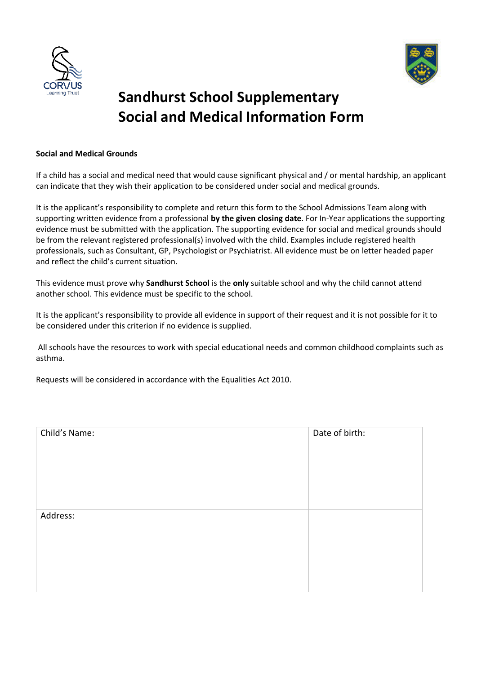



## **Sandhurst School Supplementary Social and Medical Information Form**

## **Social and Medical Grounds**

If a child has a social and medical need that would cause significant physical and / or mental hardship, an applicant can indicate that they wish their application to be considered under social and medical grounds.

It is the applicant's responsibility to complete and return this form to the School Admissions Team along with supporting written evidence from a professional **by the given closing date**. For In-Year applications the supporting evidence must be submitted with the application. The supporting evidence for social and medical grounds should be from the relevant registered professional(s) involved with the child. Examples include registered health professionals, such as Consultant, GP, Psychologist or Psychiatrist. All evidence must be on letter headed paper and reflect the child's current situation.

This evidence must prove why **Sandhurst School** is the **only** suitable school and why the child cannot attend another school. This evidence must be specific to the school.

It is the applicant's responsibility to provide all evidence in support of their request and it is not possible for it to be considered under this criterion if no evidence is supplied.

All schools have the resources to work with special educational needs and common childhood complaints such as asthma.

Requests will be considered in accordance with the Equalities Act 2010.

| Child's Name: | Date of birth: |
|---------------|----------------|
| Address:      |                |
|               |                |
|               |                |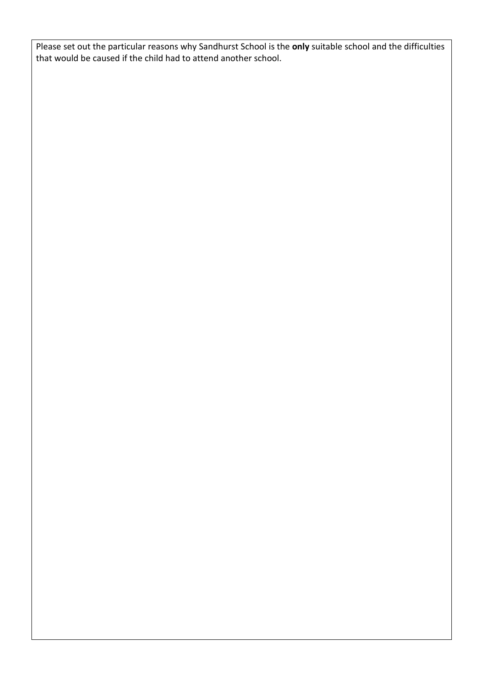Please set out the particular reasons why Sandhurst School is the **only** suitable school and the difficulties that would be caused if the child had to attend another school.